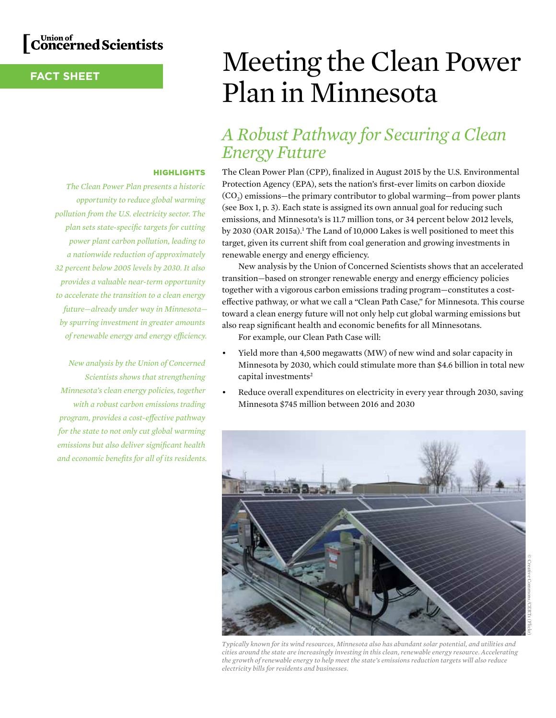## Union of<br>C**oncerned Scientists**

### **FACT SHEET**

### **HIGHLIGHTS**

*The Clean Power Plan presents a historic opportunity to reduce global warming pollution from the U.S. electricity sector. The plan sets state-specific targets for cutting power plant carbon pollution, leading to a nationwide reduction of approximately 32 percent below 2005 levels by 2030. It also provides a valuable near-term opportunity to accelerate the transition to a clean energy future—already under way in Minnesota by spurring investment in greater amounts of renewable energy and energy efficiency.*

*New analysis by the Union of Concerned Scientists shows that strengthening Minnesota's clean energy policies, together with a robust carbon emissions trading program, provides a cost-effective pathway for the state to not only cut global warming emissions but also deliver significant health and economic benefits for all of its residents.* 

# Meeting the Clean Power Plan in Minnesota

### *A Robust Pathway for Securing a Clean Energy Future*

The Clean Power Plan (CPP), finalized in August 2015 by the U.S. Environmental Protection Agency (EPA), sets the nation's first-ever limits on carbon dioxide (CO2) emissions—the primary contributor to global warming—from power plants (see Box 1, p. 3). Each state is assigned its own annual goal for reducing such emissions, and Minnesota's is 11.7 million tons, or 34 percent below 2012 levels, by 2030 (OAR 2015a).<sup>1</sup> The Land of 10,000 Lakes is well positioned to meet this target, given its current shift from coal generation and growing investments in renewable energy and energy efficiency.

New analysis by the Union of Concerned Scientists shows that an accelerated transition—based on stronger renewable energy and energy efficiency policies together with a vigorous carbon emissions trading program—constitutes a costeffective pathway, or what we call a "Clean Path Case," for Minnesota. This course toward a clean energy future will not only help cut global warming emissions but also reap significant health and economic benefits for all Minnesotans.

For example, our Clean Path Case will:

- Yield more than 4,500 megawatts (MW) of new wind and solar capacity in Minnesota by 2030, which could stimulate more than \$4.6 billion in total new capital investments<sup>2</sup>
- Reduce overall expenditures on electricity in every year through 2030, saving Minnesota \$745 million between 2016 and 2030

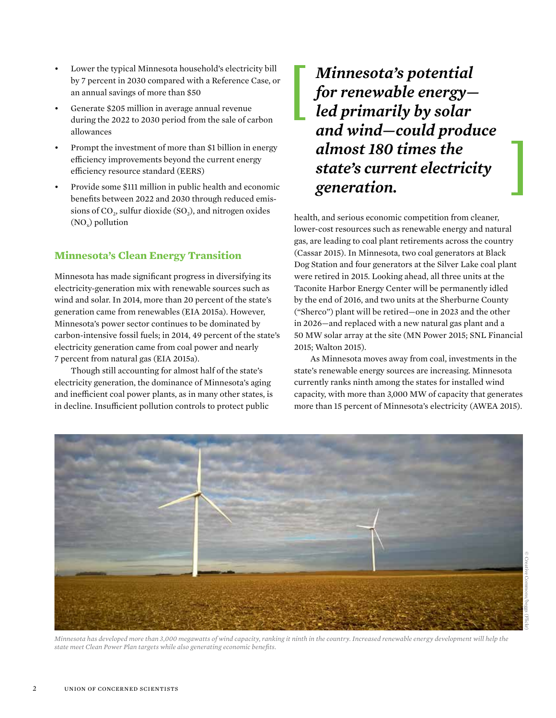- Lower the typical Minnesota household's electricity bill by 7 percent in 2030 compared with a Reference Case, or an annual savings of more than \$50
- Generate \$205 million in average annual revenue during the 2022 to 2030 period from the sale of carbon allowances
- Prompt the investment of more than \$1 billion in energy efficiency improvements beyond the current energy efficiency resource standard (EERS)
- Provide some \$111 million in public health and economic benefits between 2022 and 2030 through reduced emissions of  $CO<sub>2</sub>$ , sulfur dioxide (SO<sub>2</sub>), and nitrogen oxides  $(NO<sub>x</sub>)$  pollution

### **Minnesota's Clean Energy Transition**

Minnesota has made significant progress in diversifying its electricity-generation mix with renewable sources such as wind and solar. In 2014, more than 20 percent of the state's generation came from renewables (EIA 2015a). However, Minnesota's power sector continues to be dominated by carbon-intensive fossil fuels; in 2014, 49 percent of the state's electricity generation came from coal power and nearly 7 percent from natural gas (EIA 2015a).

Though still accounting for almost half of the state's electricity generation, the dominance of Minnesota's aging and inefficient coal power plants, as in many other states, is in decline. Insufficient pollution controls to protect public

### *Minnesota's potential for renewable energy led primarily by solar and wind—could produce almost 180 times the state's current electricity generation.*

health, and serious economic competition from cleaner, lower-cost resources such as renewable energy and natural gas, are leading to coal plant retirements across the country (Cassar 2015). In Minnesota, two coal generators at Black Dog Station and four generators at the Silver Lake coal plant were retired in 2015. Looking ahead, all three units at the Taconite Harbor Energy Center will be permanently idled by the end of 2016, and two units at the Sherburne County ("Sherco") plant will be retired—one in 2023 and the other in 2026—and replaced with a new natural gas plant and a 50 MW solar array at the site (MN Power 2015; SNL Financial 2015; Walton 2015).

As Minnesota moves away from coal, investments in the state's renewable energy sources are increasing. Minnesota currently ranks ninth among the states for installed wind capacity, with more than 3,000 MW of capacity that generates more than 15 percent of Minnesota's electricity (AWEA 2015).



*Minnesota has developed more than 3,000 megawatts of wind capacity, ranking it ninth in the country. Increased renewable energy development will help the state meet Clean Power Plan targets while also generating economic benefits.*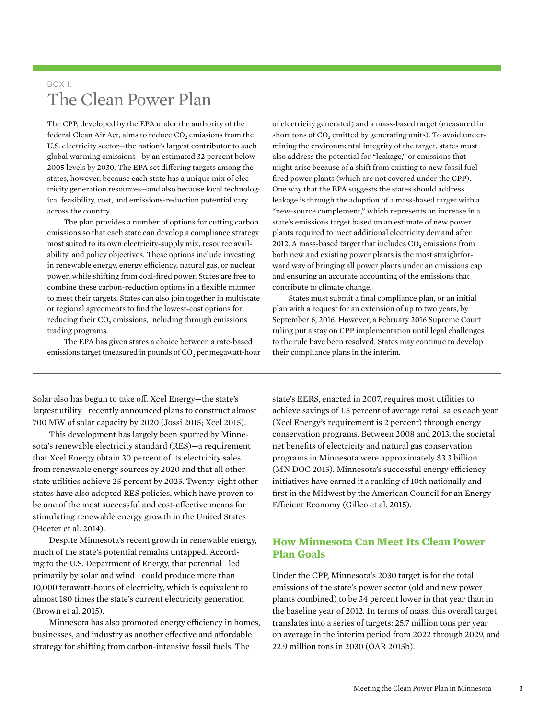### $BOX1$ The Clean Power Plan

The CPP, developed by the EPA under the authority of the federal Clean Air Act, aims to reduce CO<sub>2</sub> emissions from the U.S. electricity sector—the nation's largest contributor to such global warming emissions—by an estimated 32 percent below 2005 levels by 2030. The EPA set differing targets among the states, however, because each state has a unique mix of electricity generation resources—and also because local technological feasibility, cost, and emissions-reduction potential vary across the country.

The plan provides a number of options for cutting carbon emissions so that each state can develop a compliance strategy most suited to its own electricity-supply mix, resource availability, and policy objectives. These options include investing in renewable energy, energy efficiency, natural gas, or nuclear power, while shifting from coal-fired power. States are free to combine these carbon-reduction options in a flexible manner to meet their targets. States can also join together in multistate or regional agreements to find the lowest-cost options for reducing their CO<sub>2</sub> emissions, including through emissions trading programs.

The EPA has given states a choice between a rate-based emissions target (measured in pounds of CO<sub>2</sub> per megawatt-hour

Solar also has begun to take off. Xcel Energy—the state's largest utility—recently announced plans to construct almost 700 MW of solar capacity by 2020 (Jossi 2015; Xcel 2015).

This development has largely been spurred by Minnesota's renewable electricity standard (RES)—a requirement that Xcel Energy obtain 30 percent of its electricity sales from renewable energy sources by 2020 and that all other state utilities achieve 25 percent by 2025. Twenty-eight other states have also adopted RES policies, which have proven to be one of the most successful and cost-effective means for stimulating renewable energy growth in the United States (Heeter et al. 2014).

Despite Minnesota's recent growth in renewable energy, much of the state's potential remains untapped. According to the U.S. Department of Energy, that potential—led primarily by solar and wind—could produce more than 10,000 terawatt-hours of electricity, which is equivalent to almost 180 times the state's current electricity generation (Brown et al. 2015).

Minnesota has also promoted energy efficiency in homes, businesses, and industry as another effective and affordable strategy for shifting from carbon-intensive fossil fuels. The

of electricity generated) and a mass-based target (measured in short tons of CO<sub>2</sub> emitted by generating units). To avoid undermining the environmental integrity of the target, states must also address the potential for "leakage," or emissions that might arise because of a shift from existing to new fossil fuel– fired power plants (which are not covered under the CPP). One way that the EPA suggests the states should address leakage is through the adoption of a mass-based target with a "new-source complement," which represents an increase in a state's emissions target based on an estimate of new power plants required to meet additional electricity demand after 2012. A mass-based target that includes  $CO<sub>2</sub>$  emissions from both new and existing power plants is the most straightforward way of bringing all power plants under an emissions cap and ensuring an accurate accounting of the emissions that contribute to climate change.

States must submit a final compliance plan, or an initial plan with a request for an extension of up to two years, by September 6, 2016. However, a February 2016 Supreme Court ruling put a stay on CPP implementation until legal challenges to the rule have been resolved. States may continue to develop their compliance plans in the interim.

state's EERS, enacted in 2007, requires most utilities to achieve savings of 1.5 percent of average retail sales each year (Xcel Energy's requirement is 2 percent) through energy conservation programs. Between 2008 and 2013, the societal net benefits of electricity and natural gas conservation programs in Minnesota were approximately \$3.3 billion (MN DOC 2015). Minnesota's successful energy efficiency initiatives have earned it a ranking of 10th nationally and first in the Midwest by the American Council for an Energy Efficient Economy (Gilleo et al. 2015).

### **How Minnesota Can Meet Its Clean Power Plan Goals**

Under the CPP, Minnesota's 2030 target is for the total emissions of the state's power sector (old and new power plants combined) to be 34 percent lower in that year than in the baseline year of 2012. In terms of mass, this overall target translates into a series of targets: 25.7 million tons per year on average in the interim period from 2022 through 2029, and 22.9 million tons in 2030 (OAR 2015b).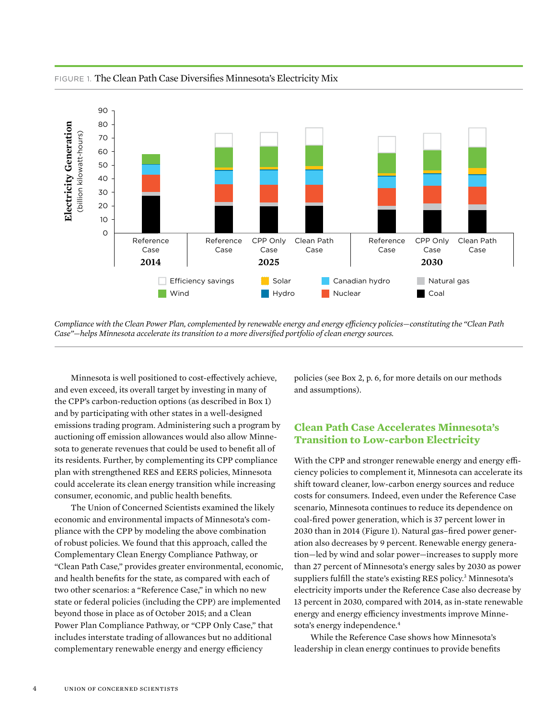

FIGURE 1. The Clean Path Case Diversifies Minnesota's Electricity Mix

*Compliance with the Clean Power Plan, complemented by renewable energy and energy efficiency policies—constituting the "Clean Path Case"—helps Minnesota accelerate its transition to a more diversified portfolio of clean energy sources.*

Minnesota is well positioned to cost-effectively achieve, and even exceed, its overall target by investing in many of the CPP's carbon-reduction options (as described in Box 1) and by participating with other states in a well-designed emissions trading program. Administering such a program by auctioning off emission allowances would also allow Minnesota to generate revenues that could be used to benefit all of its residents. Further, by complementing its CPP compliance plan with strengthened RES and EERS policies, Minnesota could accelerate its clean energy transition while increasing consumer, economic, and public health benefits.

The Union of Concerned Scientists examined the likely economic and environmental impacts of Minnesota's compliance with the CPP by modeling the above combination of robust policies. We found that this approach, called the Complementary Clean Energy Compliance Pathway, or "Clean Path Case," provides greater environmental, economic, and health benefits for the state, as compared with each of two other scenarios: a "Reference Case," in which no new state or federal policies (including the CPP) are implemented beyond those in place as of October 2015; and a Clean Power Plan Compliance Pathway, or "CPP Only Case," that includes interstate trading of allowances but no additional complementary renewable energy and energy efficiency

policies (see Box 2, p. 6, for more details on our methods and assumptions).

### **Clean Path Case Accelerates Minnesota's Transition to Low-carbon Electricity**

With the CPP and stronger renewable energy and energy efficiency policies to complement it, Minnesota can accelerate its shift toward cleaner, low-carbon energy sources and reduce costs for consumers. Indeed, even under the Reference Case scenario, Minnesota continues to reduce its dependence on coal-fired power generation, which is 37 percent lower in 2030 than in 2014 (Figure 1). Natural gas–fired power generation also decreases by 9 percent. Renewable energy generation—led by wind and solar power—increases to supply more than 27 percent of Minnesota's energy sales by 2030 as power suppliers fulfill the state's existing RES policy.<sup>3</sup> Minnesota's electricity imports under the Reference Case also decrease by 13 percent in 2030, compared with 2014, as in-state renewable energy and energy efficiency investments improve Minnesota's energy independence.<sup>4</sup>

While the Reference Case shows how Minnesota's leadership in clean energy continues to provide benefits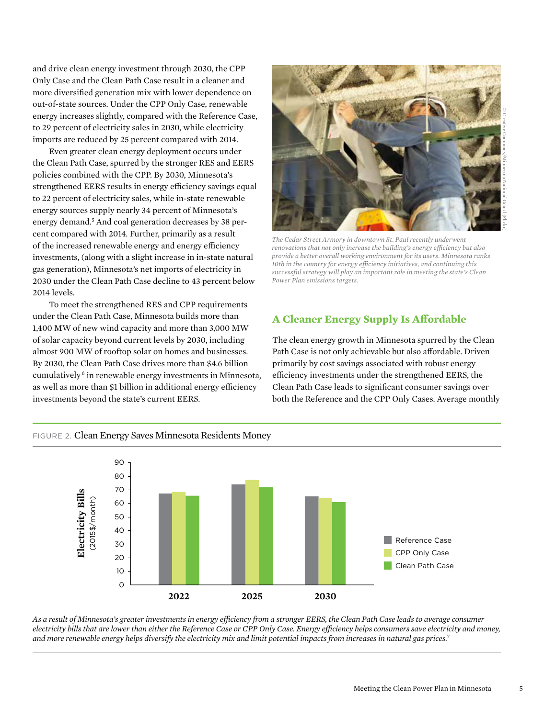and drive clean energy investment through 2030, the CPP Only Case and the Clean Path Case result in a cleaner and more diversified generation mix with lower dependence on out-of-state sources. Under the CPP Only Case, renewable energy increases slightly, compared with the Reference Case, to 29 percent of electricity sales in 2030, while electricity imports are reduced by 25 percent compared with 2014.

Even greater clean energy deployment occurs under the Clean Path Case, spurred by the stronger RES and EERS policies combined with the CPP. By 2030, Minnesota's strengthened EERS results in energy efficiency savings equal to 22 percent of electricity sales, while in-state renewable energy sources supply nearly 34 percent of Minnesota's energy demand.<sup>5</sup> And coal generation decreases by 38 percent compared with 2014. Further, primarily as a result of the increased renewable energy and energy efficiency investments, (along with a slight increase in in-state natural gas generation), Minnesota's net imports of electricity in 2030 under the Clean Path Case decline to 43 percent below 2014 levels.

To meet the strengthened RES and CPP requirements under the Clean Path Case, Minnesota builds more than 1,400 MW of new wind capacity and more than 3,000 MW of solar capacity beyond current levels by 2030, including almost 900 MW of rooftop solar on homes and businesses. By 2030, the Clean Path Case drives more than \$4.6 billion cumulatively 6 in renewable energy investments in Minnesota, as well as more than \$1 billion in additional energy efficiency investments beyond the state's current EERS.



*The Cedar Street Armory in downtown St. Paul recently underwent renovations that not only increase the building's energy efficiency but also provide a better overall working environment for its users. Minnesota ranks 10th in the country for energy efficiency initiatives, and continuing this successful strategy will play an important role in meeting the state's Clean Power Plan emissions targets.*

### **A Cleaner Energy Supply Is Affordable**

The clean energy growth in Minnesota spurred by the Clean Path Case is not only achievable but also affordable. Driven primarily by cost savings associated with robust energy efficiency investments under the strengthened EERS, the Clean Path Case leads to significant consumer savings over both the Reference and the CPP Only Cases. Average monthly



*As a result of Minnesota's greater investments in energy efficiency from a stronger EERS, the Clean Path Case leads to average consumer electricity bills that are lower than either the Reference Case or CPP Only Case. Energy efficiency helps consumers save electricity and money, and more renewable energy helps diversify the electricity mix and limit potential impacts from increases in natural gas prices.*<sup>7</sup>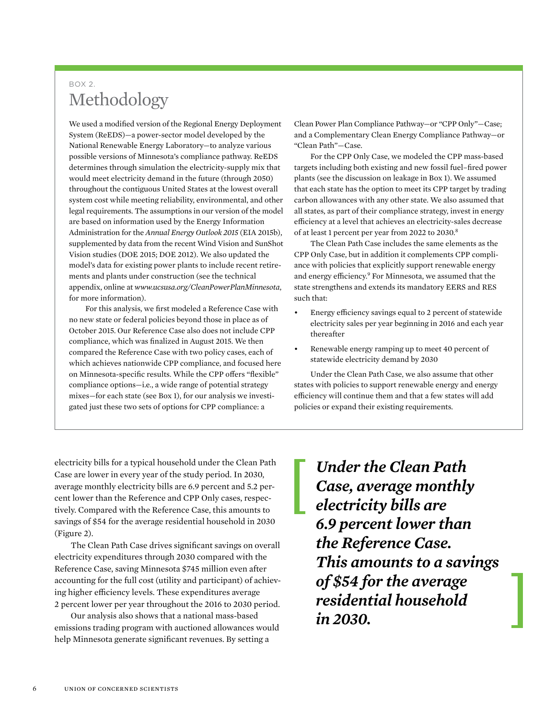### BOX 2. Methodology

We used a modified version of the Regional Energy Deployment System (ReEDS)—a power-sector model developed by the National Renewable Energy Laboratory—to analyze various possible versions of Minnesota's compliance pathway. ReEDS determines through simulation the electricity-supply mix that would meet electricity demand in the future (through 2050) throughout the contiguous United States at the lowest overall system cost while meeting reliability, environmental, and other legal requirements. The assumptions in our version of the model are based on information used by the Energy Information Administration for the *Annual Energy Outlook 2015* (EIA 2015b), supplemented by data from the recent Wind Vision and SunShot Vision studies (DOE 2015; DOE 2012). We also updated the model's data for existing power plants to include recent retirements and plants under construction (see the technical appendix, online at *www.ucsusa.org/CleanPowerPlanMinnesota*, for more information).

For this analysis, we first modeled a Reference Case with no new state or federal policies beyond those in place as of October 2015. Our Reference Case also does not include CPP compliance, which was finalized in August 2015. We then compared the Reference Case with two policy cases, each of which achieves nationwide CPP compliance, and focused here on Minnesota-specific results. While the CPP offers "flexible" compliance options—i.e., a wide range of potential strategy mixes—for each state (see Box 1), for our analysis we investigated just these two sets of options for CPP compliance: a

Clean Power Plan Compliance Pathway—or "CPP Only"—Case; and a Complementary Clean Energy Compliance Pathway—or "Clean Path"—Case.

For the CPP Only Case, we modeled the CPP mass-based targets including both existing and new fossil fuel–fired power plants (see the discussion on leakage in Box 1). We assumed that each state has the option to meet its CPP target by trading carbon allowances with any other state. We also assumed that all states, as part of their compliance strategy, invest in energy efficiency at a level that achieves an electricity-sales decrease of at least 1 percent per year from 2022 to 2030.8

The Clean Path Case includes the same elements as the CPP Only Case, but in addition it complements CPP compliance with policies that explicitly support renewable energy and energy efficiency.<sup>9</sup> For Minnesota, we assumed that the state strengthens and extends its mandatory EERS and RES such that:

- Energy efficiency savings equal to 2 percent of statewide electricity sales per year beginning in 2016 and each year thereafter
- Renewable energy ramping up to meet 40 percent of statewide electricity demand by 2030

Under the Clean Path Case, we also assume that other states with policies to support renewable energy and energy efficiency will continue them and that a few states will add policies or expand their existing requirements.

electricity bills for a typical household under the Clean Path Case are lower in every year of the study period. In 2030, average monthly electricity bills are 6.9 percent and 5.2 percent lower than the Reference and CPP Only cases, respectively. Compared with the Reference Case, this amounts to savings of \$54 for the average residential household in 2030 (Figure 2).

The Clean Path Case drives significant savings on overall electricity expenditures through 2030 compared with the Reference Case, saving Minnesota \$745 million even after accounting for the full cost (utility and participant) of achieving higher efficiency levels. These expenditures average 2 percent lower per year throughout the 2016 to 2030 period.

Our analysis also shows that a national mass-based emissions trading program with auctioned allowances would help Minnesota generate significant revenues. By setting a

*Under the Clean Path Case, average monthly electricity bills are 6.9 percent lower than the Reference Case. This amounts to a savings of \$54 for the average residential household in 2030.*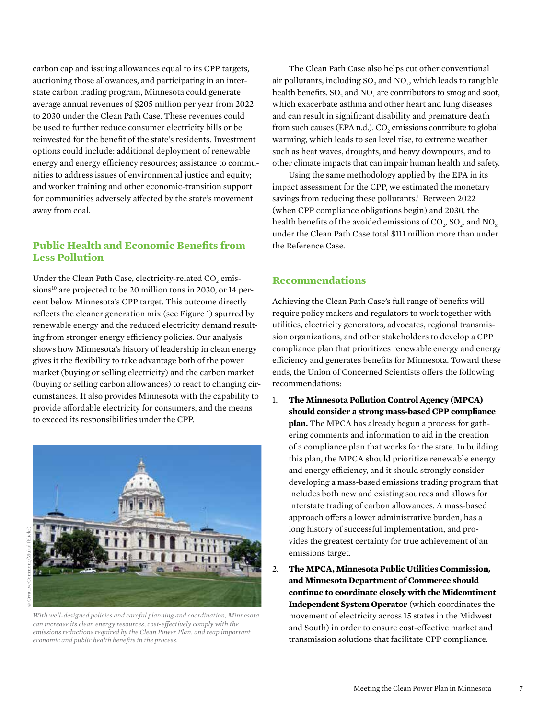carbon cap and issuing allowances equal to its CPP targets, auctioning those allowances, and participating in an interstate carbon trading program, Minnesota could generate average annual revenues of \$205 million per year from 2022 to 2030 under the Clean Path Case. These revenues could be used to further reduce consumer electricity bills or be reinvested for the benefit of the state's residents. Investment options could include: additional deployment of renewable energy and energy efficiency resources; assistance to communities to address issues of environmental justice and equity; and worker training and other economic-transition support for communities adversely affected by the state's movement away from coal.

### **Public Health and Economic Benefits from Less Pollution**

Under the Clean Path Case, electricity-related  $CO<sub>2</sub>$  emissions<sup>10</sup> are projected to be 20 million tons in 2030, or 14 percent below Minnesota's CPP target. This outcome directly reflects the cleaner generation mix (see Figure 1) spurred by renewable energy and the reduced electricity demand resulting from stronger energy efficiency policies. Our analysis shows how Minnesota's history of leadership in clean energy gives it the flexibility to take advantage both of the power market (buying or selling electricity) and the carbon market (buying or selling carbon allowances) to react to changing circumstances. It also provides Minnesota with the capability to provide affordable electricity for consumers, and the means to exceed its responsibilities under the CPP.



*With well-designed policies and careful planning and coordination, Minnesota can increase its clean energy resources, cost-effectively comply with the emissions reductions required by the Clean Power Plan, and reap important economic and public health benefits in the process.*

The Clean Path Case also helps cut other conventional air pollutants, including  $SO_2$  and  $NO_x$ , which leads to tangible health benefits.  $SO_2$  and  $NO_x$  are contributors to smog and soot, which exacerbate asthma and other heart and lung diseases and can result in significant disability and premature death from such causes (EPA n.d.).  $CO<sub>2</sub>$  emissions contribute to global warming, which leads to sea level rise, to extreme weather such as heat waves, droughts, and heavy downpours, and to other climate impacts that can impair human health and safety.

Using the same methodology applied by the EPA in its impact assessment for the CPP, we estimated the monetary savings from reducing these pollutants.<sup>11</sup> Between 2022 (when CPP compliance obligations begin) and 2030, the health benefits of the avoided emissions of  $CO<sub>2</sub>$ ,  $SO<sub>2</sub>$ , and  $NO<sub>x</sub>$ under the Clean Path Case total \$111 million more than under the Reference Case.

### **Recommendations**

Achieving the Clean Path Case's full range of benefits will require policy makers and regulators to work together with utilities, electricity generators, advocates, regional transmission organizations, and other stakeholders to develop a CPP compliance plan that prioritizes renewable energy and energy efficiency and generates benefits for Minnesota. Toward these ends, the Union of Concerned Scientists offers the following recommendations:

- 1. **The Minnesota Pollution Control Agency (MPCA) should consider a strong mass-based CPP compliance plan.** The MPCA has already begun a process for gathering comments and information to aid in the creation of a compliance plan that works for the state. In building this plan, the MPCA should prioritize renewable energy and energy efficiency, and it should strongly consider developing a mass-based emissions trading program that includes both new and existing sources and allows for interstate trading of carbon allowances. A mass-based approach offers a lower administrative burden, has a long history of successful implementation, and provides the greatest certainty for true achievement of an emissions target.
- 2. **The MPCA, Minnesota Public Utilities Commission, and Minnesota Department of Commerce should continue to coordinate closely with the Midcontinent Independent System Operator** (which coordinates the movement of electricity across 15 states in the Midwest and South) in order to ensure cost-effective market and transmission solutions that facilitate CPP compliance.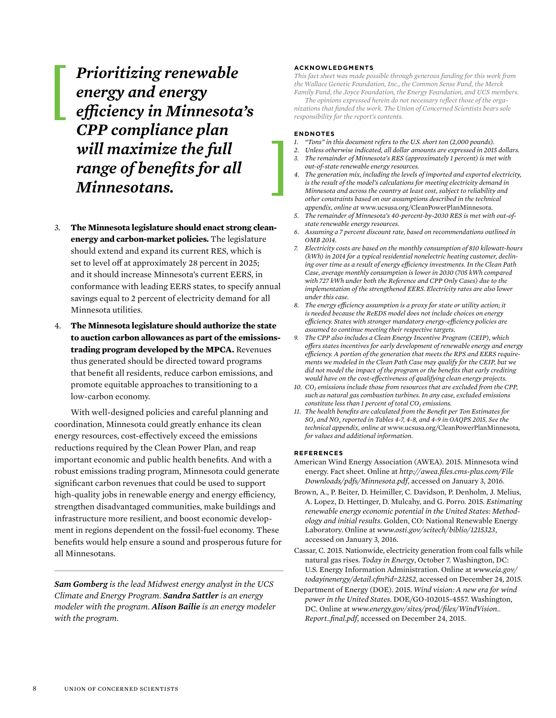*Prioritizing renewable energy and energy efficiency in Minnesota's CPP compliance plan will maximize the full range of benefits for all Minnesotans.*

- 3. **The Minnesota legislature should enact strong cleanenergy and carbon-market policies.** The legislature should extend and expand its current RES, which is set to level off at approximately 28 percent in 2025; and it should increase Minnesota's current EERS, in conformance with leading EERS states, to specify annual savings equal to 2 percent of electricity demand for all Minnesota utilities.
- 4. **The Minnesota legislature should authorize the state to auction carbon allowances as part of the emissionstrading program developed by the MPCA.** Revenues thus generated should be directed toward programs that benefit all residents, reduce carbon emissions, and promote equitable approaches to transitioning to a low-carbon economy.

With well-designed policies and careful planning and coordination, Minnesota could greatly enhance its clean energy resources, cost-effectively exceed the emissions reductions required by the Clean Power Plan, and reap important economic and public health benefits. And with a robust emissions trading program, Minnesota could generate significant carbon revenues that could be used to support high-quality jobs in renewable energy and energy efficiency, strengthen disadvantaged communities, make buildings and infrastructure more resilient, and boost economic development in regions dependent on the fossil-fuel economy. These benefits would help ensure a sound and prosperous future for all Minnesotans.

*Sam Gomberg is the lead Midwest energy analyst in the UCS Climate and Energy Program. Sandra Sattler is an energy modeler with the program. Alison Bailie is an energy modeler with the program.*

### **ACKNOWLEDGMENTS**

*This fact sheet was made possible through generous funding for this work from the Wallace Genetic Foundation, Inc., the Common Sense Fund, the Merck Family Fund, the Joyce Foundation, the Energy Foundation, and UCS members.*

*The opinions expressed herein do not necessary reflect those of the organizations that funded the work. The Union of Concerned Scientists bears sole responsibility for the report's contents.*

#### **ENDNOTES**

- *1. "Tons" in this document refers to the U.S. short ton (2,000 pounds).*
- *2. Unless otherwise indicated, all dollar amounts are expressed in 2015 dollars. 3. The remainder of Minnesota's RES (approximately 1 percent) is met with*
- *out-of-state renewable energy resources.*
- *4. The generation mix, including the levels of imported and exported electricity, is the result of the model's calculations for meeting electricity demand in Minnesota and across the country at least cost, subject to reliability and other constraints based on our assumptions described in the technical appendix, online at* www.ucsusa.org/CleanPowerPlanMinnesota.
- *5. The remainder of Minnesota's 40-percent-by-2030 RES is met with out-ofstate renewable energy resources.*
- *6. Assuming a 7 percent discount rate, based on recommendations outlined in OMB 2014.*
- *7. Electricity costs are based on the monthly consumption of 810 kilowatt-hours (kWh) in 2014 for a typical residential nonelectric heating customer, declining over time as a result of energy efficiency investments. In the Clean Path Case, average monthly consumption is lower in 2030 (705 kWh compared with 727 kWh under both the Reference and CPP Only Cases) due to the implementation of the strengthened EERS. Electricity rates are also lower under this case.*
- *8. The energy efficiency assumption is a proxy for state or utility action; it is needed because the ReEDS model does not include choices on energy efficiency. States with stronger mandatory energy-efficiency policies are assumed to continue meeting their respective targets.*
- *9. The CPP also includes a Clean Energy Incentive Program (CEIP), which offers states incentives for early development of renewable energy and energy efficiency. A portion of the generation that meets the RPS and EERS requirements we modeled in the Clean Path Case may qualify for the CEIP, but we did not model the impact of the program or the benefits that early crediting would have on the cost-effectiveness of qualifying clean energy projects.*
- 10.  $CO<sub>2</sub>$  emissions include those from resources that are excluded from the CPP, *such as natural gas combustion turbines. In any case, excluded emissions constitute less than 1 percent of total CO<sub>2</sub> emissions.*
- *11. The health benefits are calculated from the Benefit per Ton Estimates for SO2 and NOx reported in Tables 4-7, 4-8, and 4-9 in OAQPS 2015. See the technical appendix, online at* www.ucsusa.org/CleanPowerPlanMinnesota*, for values and additional information.*

#### **REFERENCES**

- American Wind Energy Association (AWEA). 2015. Minnesota wind energy. Fact sheet. Online at *http://awea.files.cms-plus.com/File Downloads/pdfs/Minnesota.pdf*, accessed on January 3, 2016.
- Brown, A., P. Beiter, D. Heimiller, C. Davidson, P. Denholm, J. Melius, A. Lopez, D. Hettinger, D. Mulcahy, and G. Porro. 2015. *Estimating renewable energy economic potential in the United States: Methodology and initial results*. Golden, CO: National Renewable Energy Laboratory. Online at *www.osti.gov/scitech/biblio/1215323*, accessed on January 3, 2016.
- Cassar, C. 2015. Nationwide, electricity generation from coal falls while natural gas rises. *Today in Energy*, October 7. Washington, DC: U.S. Energy Information Administration. Online at *www.eia.gov/ todayinenergy/detail.cfm?id=23252*, accessed on December 24, 2015.
- Department of Energy (DOE). 2015. *Wind vision: A new era for wind power in the United States*. DOE/GO-102015-4557. Washington, DC. Online at *www.energy.gov/sites/prod/files/WindVision\_ Report\_final.pdf*, accessed on December 24, 2015.